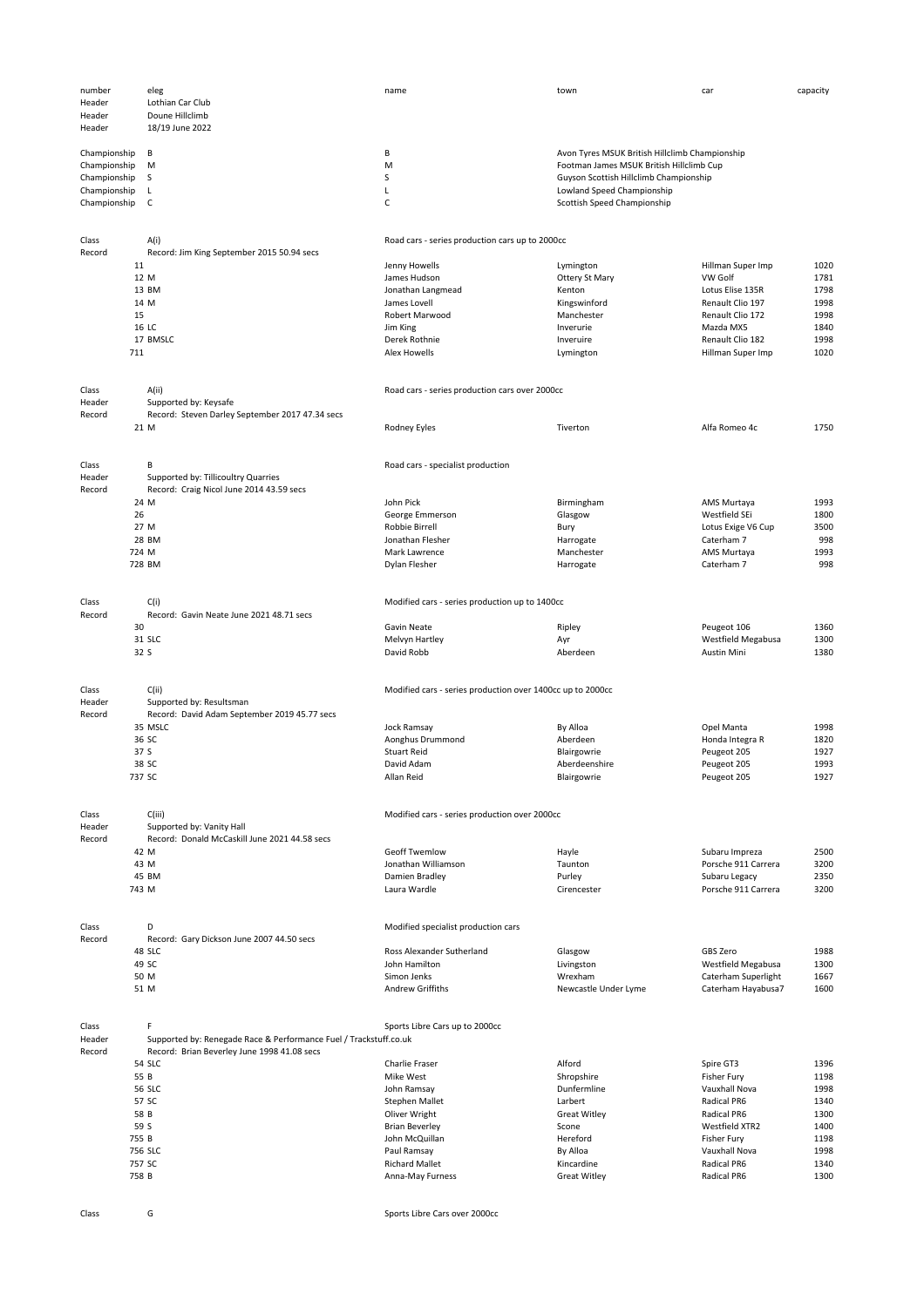| number          |               | eleg                                                              | name                                                       | town                                           | car                                       | capacity     |
|-----------------|---------------|-------------------------------------------------------------------|------------------------------------------------------------|------------------------------------------------|-------------------------------------------|--------------|
| Header          |               | Lothian Car Club                                                  |                                                            |                                                |                                           |              |
| Header          |               | Doune Hillclimb                                                   |                                                            |                                                |                                           |              |
| Header          |               | 18/19 June 2022                                                   |                                                            |                                                |                                           |              |
| Championship    |               | В                                                                 | В                                                          | Avon Tyres MSUK British Hillclimb Championship |                                           |              |
| Championship    |               | M                                                                 | M                                                          | Footman James MSUK British Hillclimb Cup       |                                           |              |
| Championship    |               | S                                                                 | S                                                          | Guyson Scottish Hillclimb Championship         |                                           |              |
| Championship    |               | L                                                                 | Г                                                          | Lowland Speed Championship                     |                                           |              |
| Championship    |               | C                                                                 | $\mathsf C$                                                | Scottish Speed Championship                    |                                           |              |
|                 |               |                                                                   |                                                            |                                                |                                           |              |
|                 |               |                                                                   |                                                            |                                                |                                           |              |
| Class           |               | A(i)                                                              | Road cars - series production cars up to 2000cc            |                                                |                                           |              |
| Record          |               | Record: Jim King September 2015 50.94 secs                        |                                                            |                                                |                                           |              |
|                 | 11            |                                                                   | Jenny Howells                                              | Lymington                                      | Hillman Super Imp                         | 1020         |
|                 | 12 M          |                                                                   | James Hudson                                               | Ottery St Mary                                 | VW Golf                                   | 1781         |
|                 |               | 13 BM                                                             | Jonathan Langmead                                          | Kenton                                         | Lotus Elise 135R                          | 1798         |
|                 | 14 M<br>15    |                                                                   | James Lovell<br>Robert Marwood                             | Kingswinford<br>Manchester                     | Renault Clio 197<br>Renault Clio 172      | 1998<br>1998 |
|                 | 16 LC         |                                                                   | Jim King                                                   | Inverurie                                      | Mazda MX5                                 | 1840         |
|                 |               | 17 BMSLC                                                          | Derek Rothnie                                              | Inveruire                                      | Renault Clio 182                          | 1998         |
|                 | 711           |                                                                   | <b>Alex Howells</b>                                        | Lymington                                      | Hillman Super Imp                         | 1020         |
|                 |               |                                                                   |                                                            |                                                |                                           |              |
|                 |               |                                                                   |                                                            |                                                |                                           |              |
| Class           |               | A(ii)                                                             | Road cars - series production cars over 2000cc             |                                                |                                           |              |
| Header          |               | Supported by: Keysafe                                             |                                                            |                                                |                                           |              |
| Record          |               | Record: Steven Darley September 2017 47.34 secs                   |                                                            |                                                |                                           |              |
|                 | 21 M          |                                                                   | Rodney Eyles                                               | Tiverton                                       | Alfa Romeo 4c                             | 1750         |
|                 |               |                                                                   |                                                            |                                                |                                           |              |
|                 |               | B                                                                 |                                                            |                                                |                                           |              |
| Class<br>Header |               | Supported by: Tillicoultry Quarries                               | Road cars - specialist production                          |                                                |                                           |              |
| Record          |               | Record: Craig Nicol June 2014 43.59 secs                          |                                                            |                                                |                                           |              |
|                 | 24 M          |                                                                   | John Pick                                                  | Birmingham                                     | AMS Murtaya                               | 1993         |
|                 | 26            |                                                                   | George Emmerson                                            | Glasgow                                        | Westfield SEi                             | 1800         |
|                 | 27 M          |                                                                   | Robbie Birrell                                             | Bury                                           | Lotus Exige V6 Cup                        | 3500         |
|                 |               | 28 BM                                                             | Jonathan Flesher                                           | Harrogate                                      | Caterham 7                                | 998          |
|                 | 724 M         |                                                                   | Mark Lawrence                                              | Manchester                                     | AMS Murtaya                               | 1993         |
|                 |               | 728 BM                                                            | Dylan Flesher                                              | Harrogate                                      | Caterham 7                                | 998          |
|                 |               |                                                                   |                                                            |                                                |                                           |              |
|                 |               |                                                                   |                                                            |                                                |                                           |              |
| Class           |               | C(i)                                                              | Modified cars - series production up to 1400cc             |                                                |                                           |              |
| Record          |               | Record: Gavin Neate June 2021 48.71 secs                          |                                                            |                                                |                                           |              |
|                 | 30            |                                                                   | Gavin Neate                                                | Ripley                                         | Peugeot 106                               | 1360         |
|                 | 32 S          | 31 SLC                                                            | Melvyn Hartley<br>David Robb                               | Ayr<br>Aberdeen                                | Westfield Megabusa<br>Austin Mini         | 1300<br>1380 |
|                 |               |                                                                   |                                                            |                                                |                                           |              |
|                 |               |                                                                   |                                                            |                                                |                                           |              |
| Class           |               | C(i)                                                              | Modified cars - series production over 1400cc up to 2000cc |                                                |                                           |              |
| Header          |               | Supported by: Resultsman                                          |                                                            |                                                |                                           |              |
| Record          |               | Record: David Adam September 2019 45.77 secs                      |                                                            |                                                |                                           |              |
|                 |               | 35 MSLC                                                           | Jock Ramsay                                                | By Alloa                                       | Opel Manta                                | 1998         |
|                 | 36 SC         |                                                                   | Aonghus Drummond                                           | Aberdeen                                       | Honda Integra R                           | 1820         |
|                 | 37 S          |                                                                   | <b>Stuart Reid</b>                                         | Blairgowrie                                    | Peugeot 205                               | 1927         |
|                 |               | 38 SC                                                             | David Adam                                                 | Aberdeenshire                                  | Peugeot 205                               | 1993         |
|                 | 737 SC        |                                                                   | Allan Reid                                                 | Blairgowrie                                    | Peugeot 205                               | 1927         |
|                 |               |                                                                   |                                                            |                                                |                                           |              |
| Class           |               | C(iii)                                                            | Modified cars - series production over 2000cc              |                                                |                                           |              |
| Header          |               | Supported by: Vanity Hall                                         |                                                            |                                                |                                           |              |
| Record          |               | Record: Donald McCaskill June 2021 44.58 secs                     |                                                            |                                                |                                           |              |
|                 | 42 M          |                                                                   | <b>Geoff Twemlow</b>                                       | Hayle                                          | Subaru Impreza                            | 2500         |
|                 | 43 M          |                                                                   | Jonathan Williamson                                        | Taunton                                        | Porsche 911 Carrera                       | 3200         |
|                 |               | 45 BM                                                             | Damien Bradley                                             | Purley                                         | Subaru Legacy                             | 2350         |
|                 | 743 M         |                                                                   | Laura Wardle                                               | Cirencester                                    | Porsche 911 Carrera                       | 3200         |
|                 |               |                                                                   |                                                            |                                                |                                           |              |
|                 |               |                                                                   |                                                            |                                                |                                           |              |
| Class           |               | D                                                                 | Modified specialist production cars                        |                                                |                                           |              |
| Record          |               | Record: Gary Dickson June 2007 44.50 secs                         |                                                            |                                                |                                           |              |
|                 |               | 48 SLC                                                            | Ross Alexander Sutherland<br>John Hamilton                 | Glasgow                                        | <b>GBS Zero</b>                           | 1988         |
|                 | 49 SC<br>50 M |                                                                   | Simon Jenks                                                | Livingston<br>Wrexham                          | Westfield Megabusa<br>Caterham Superlight | 1300<br>1667 |
|                 | 51 M          |                                                                   | Andrew Griffiths                                           | Newcastle Under Lyme                           | Caterham Hayabusa7                        | 1600         |
|                 |               |                                                                   |                                                            |                                                |                                           |              |
|                 |               |                                                                   |                                                            |                                                |                                           |              |
| Class           |               | F                                                                 | Sports Libre Cars up to 2000cc                             |                                                |                                           |              |
| Header          |               | Supported by: Renegade Race & Performance Fuel / Trackstuff.co.uk |                                                            |                                                |                                           |              |
| Record          |               | Record: Brian Beverley June 1998 41.08 secs                       |                                                            |                                                |                                           |              |
|                 |               | <b>54 SLC</b>                                                     | Charlie Fraser                                             | Alford                                         | Spire GT3                                 | 1396         |
|                 | 55 B          |                                                                   | Mike West                                                  | Shropshire                                     | <b>Fisher Fury</b>                        | 1198         |
|                 |               | <b>56 SLC</b>                                                     | John Ramsay                                                | Dunfermline                                    | Vauxhall Nova                             | 1998         |
|                 | 57 SC         |                                                                   | Stephen Mallet                                             | Larbert                                        | Radical PR6                               | 1340         |
|                 | 58 B          |                                                                   | Oliver Wright                                              | <b>Great Witley</b>                            | Radical PR6                               | 1300         |
|                 | 59 S          |                                                                   | <b>Brian Beverley</b>                                      | Scone                                          | Westfield XTR2                            | 1400         |
|                 | 755 B         |                                                                   | John McQuillan                                             | Hereford                                       | <b>Fisher Fury</b>                        | 1198         |
|                 | 757 SC        | 756 SLC                                                           | Paul Ramsay<br><b>Richard Mallet</b>                       | By Alloa<br>Kincardine                         | Vauxhall Nova<br>Radical PR6              | 1998<br>1340 |
|                 | 758 B         |                                                                   | Anna-May Furness                                           | <b>Great Witley</b>                            | Radical PR6                               | 1300         |
|                 |               |                                                                   |                                                            |                                                |                                           |              |
|                 |               |                                                                   |                                                            |                                                |                                           |              |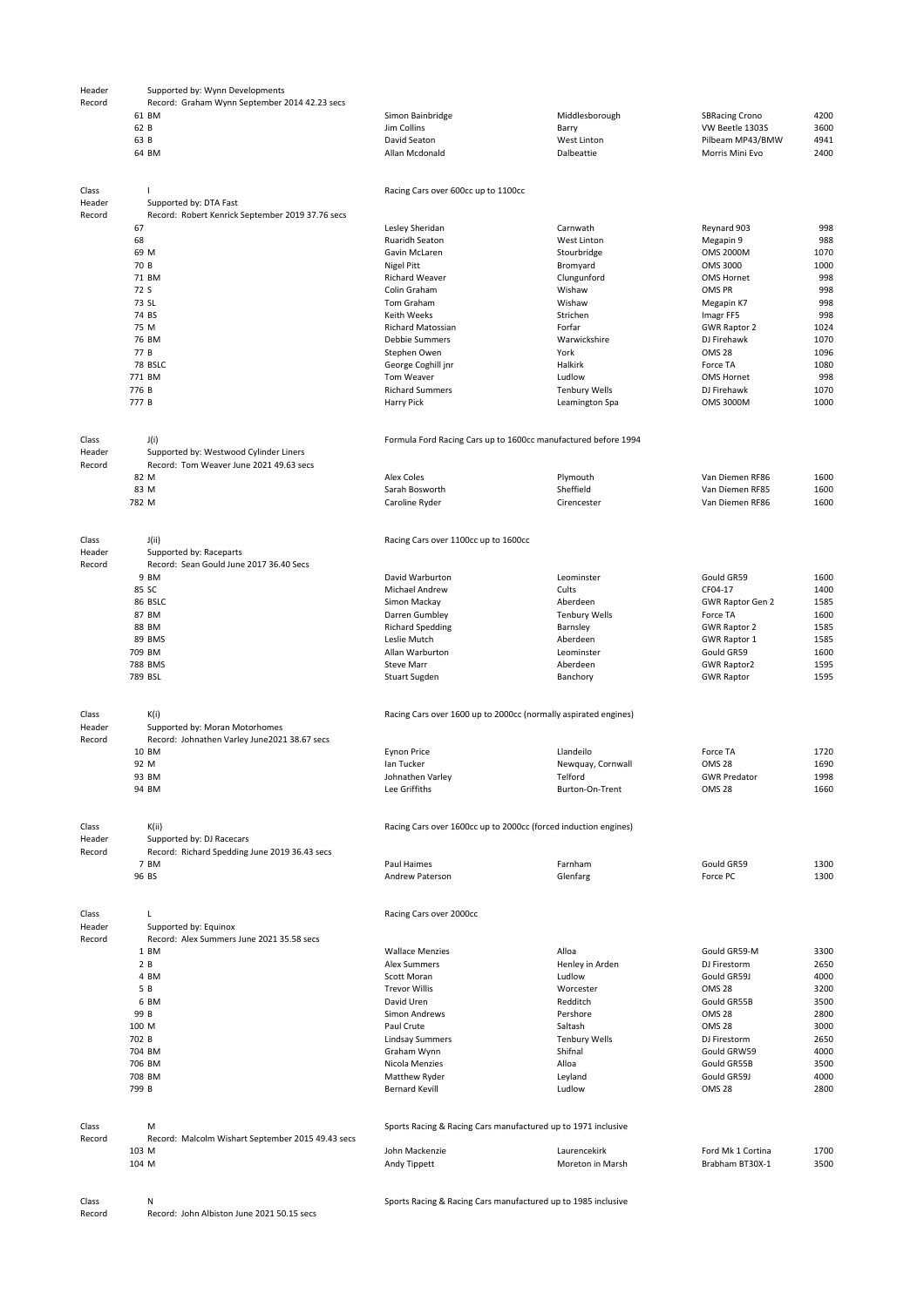| Header          | Supported by: Wynn Developments                                         |                                      |                                                                 |                                     |              |  |  |
|-----------------|-------------------------------------------------------------------------|--------------------------------------|-----------------------------------------------------------------|-------------------------------------|--------------|--|--|
| Record          | Record: Graham Wynn September 2014 42.23 secs                           |                                      |                                                                 |                                     |              |  |  |
|                 | 61 BM                                                                   | Simon Bainbridge                     | Middlesborough                                                  | <b>SBRacing Crono</b>               | 4200         |  |  |
|                 | 62 B                                                                    | Jim Collins                          | Barry                                                           | VW Beetle 1303S                     | 3600         |  |  |
|                 | 63 B<br>64 BM                                                           | David Seaton<br>Allan Mcdonald       | West Linton<br>Dalbeattie                                       | Pilbeam MP43/BMW<br>Morris Mini Evo | 4941<br>2400 |  |  |
|                 |                                                                         |                                      |                                                                 |                                     |              |  |  |
| Class           | -1                                                                      | Racing Cars over 600cc up to 1100cc  |                                                                 |                                     |              |  |  |
| Header          | Supported by: DTA Fast                                                  |                                      |                                                                 |                                     |              |  |  |
| Record          | Record: Robert Kenrick September 2019 37.76 secs<br>67                  | Lesley Sheridan                      | Carnwath                                                        | Reynard 903                         | 998          |  |  |
|                 | 68                                                                      | Ruaridh Seaton                       | West Linton                                                     | Megapin 9                           | 988          |  |  |
|                 | 69 M                                                                    | Gavin McLaren                        | Stourbridge                                                     | <b>OMS 2000M</b>                    | 1070         |  |  |
|                 | 70 B                                                                    | Nigel Pitt                           | Bromyard                                                        | OMS 3000                            | 1000         |  |  |
|                 | 71 BM                                                                   | Richard Weaver                       | Clungunford                                                     | OMS Hornet                          | 998          |  |  |
|                 | 72 S                                                                    | Colin Graham                         | Wishaw                                                          | OMS PR                              | 998          |  |  |
|                 | 73 SL                                                                   | Tom Graham                           | Wishaw                                                          | Megapin K7                          | 998          |  |  |
|                 | 74 BS                                                                   | Keith Weeks                          | Strichen                                                        | Imagr FF5                           | 998          |  |  |
|                 | 75 M                                                                    | <b>Richard Matossian</b>             | Forfar                                                          | <b>GWR Raptor 2</b>                 | 1024         |  |  |
|                 | 76 BM                                                                   | Debbie Summers                       | Warwickshire                                                    | DJ Firehawk                         | 1070         |  |  |
|                 | 77 B                                                                    | Stephen Owen                         | York                                                            | <b>OMS 28</b>                       | 1096         |  |  |
|                 | 78 BSLC                                                                 | George Coghill jnr                   | Halkirk                                                         | Force TA                            | 1080         |  |  |
|                 | 771 BM                                                                  | Tom Weaver                           | Ludlow                                                          | OMS Hornet                          | 998          |  |  |
|                 | 776 B                                                                   | <b>Richard Summers</b>               | <b>Tenbury Wells</b>                                            | DJ Firehawk                         | 1070         |  |  |
|                 | 777 B                                                                   | Harry Pick                           | Leamington Spa                                                  | OMS 3000M                           | 1000         |  |  |
| Class           | J(i)                                                                    |                                      | Formula Ford Racing Cars up to 1600cc manufactured before 1994  |                                     |              |  |  |
| Header          | Supported by: Westwood Cylinder Liners                                  |                                      |                                                                 |                                     |              |  |  |
| Record          | Record: Tom Weaver June 2021 49.63 secs                                 |                                      |                                                                 |                                     |              |  |  |
|                 | 82 M                                                                    | <b>Alex Coles</b>                    | Plymouth                                                        | Van Diemen RF86                     | 1600         |  |  |
|                 | 83 M                                                                    | Sarah Bosworth                       | Sheffield                                                       | Van Diemen RF85                     | 1600         |  |  |
|                 | 782 M                                                                   | Caroline Ryder                       | Cirencester                                                     | Van Diemen RF86                     | 1600         |  |  |
| Class           | J(ii)                                                                   | Racing Cars over 1100cc up to 1600cc |                                                                 |                                     |              |  |  |
| Header          | Supported by: Raceparts                                                 |                                      |                                                                 |                                     |              |  |  |
| Record          | Record: Sean Gould June 2017 36.40 Secs                                 |                                      |                                                                 |                                     |              |  |  |
|                 | 9 BM<br>85 SC                                                           | David Warburton<br>Michael Andrew    | Leominster<br>Cults                                             | Gould GR59<br>CF04-17               | 1600<br>1400 |  |  |
|                 | 86 BSLC                                                                 | Simon Mackay                         | Aberdeen                                                        | <b>GWR Raptor Gen 2</b>             | 1585         |  |  |
|                 | 87 BM                                                                   | Darren Gumbley                       | <b>Tenbury Wells</b>                                            | Force TA                            | 1600         |  |  |
|                 | 88 BM                                                                   | <b>Richard Spedding</b>              | Barnsley                                                        | <b>GWR Raptor 2</b>                 | 1585         |  |  |
|                 | 89 BMS                                                                  | Leslie Mutch                         | Aberdeen                                                        | <b>GWR Raptor 1</b>                 | 1585         |  |  |
|                 | 709 BM                                                                  | Allan Warburton                      | Leominster                                                      | Gould GR59                          | 1600         |  |  |
|                 | 788 BMS                                                                 | <b>Steve Marr</b>                    | Aberdeen                                                        | <b>GWR Raptor2</b>                  | 1595         |  |  |
|                 | 789 BSL                                                                 | Stuart Sugden                        | Banchory                                                        | <b>GWR Raptor</b>                   | 1595         |  |  |
| Class           | K(i)<br>Racing Cars over 1600 up to 2000cc (normally aspirated engines) |                                      |                                                                 |                                     |              |  |  |
| Header          | Supported by: Moran Motorhomes                                          |                                      |                                                                 |                                     |              |  |  |
| Record          | Record: Johnathen Varley June2021 38.67 secs<br>10 BM                   | <b>Eynon Price</b>                   | Llandeilo                                                       | Force TA                            | 1720         |  |  |
|                 | 92 M                                                                    | Ian Tucker                           | Newquay, Cornwall                                               | <b>OMS 28</b>                       | 1690         |  |  |
|                 | 93 BM                                                                   | Johnathen Varley                     | Telford                                                         | <b>GWR Predator</b>                 | 1998         |  |  |
|                 | 94 BM                                                                   | Lee Griffiths                        | Burton-On-Trent                                                 | <b>OMS 28</b>                       | 1660         |  |  |
|                 |                                                                         |                                      |                                                                 |                                     |              |  |  |
| Class           | K(ii)                                                                   |                                      | Racing Cars over 1600cc up to 2000cc (forced induction engines) |                                     |              |  |  |
| Header          | Supported by: DJ Racecars                                               |                                      |                                                                 |                                     |              |  |  |
| Record          | Record: Richard Spedding June 2019 36.43 secs                           |                                      |                                                                 |                                     |              |  |  |
|                 | 7 BM<br>96 BS                                                           | Paul Haimes<br>Andrew Paterson       | Farnham<br>Glenfarg                                             | Gould GR59<br>Force PC              | 1300<br>1300 |  |  |
|                 |                                                                         |                                      |                                                                 |                                     |              |  |  |
| Class           | L                                                                       | Racing Cars over 2000cc              |                                                                 |                                     |              |  |  |
| Header          | Supported by: Equinox<br>Record: Alex Summers June 2021 35.58 secs      |                                      |                                                                 |                                     |              |  |  |
| Record          | 1 BM                                                                    | <b>Wallace Menzies</b>               | Alloa                                                           | Gould GR59-M                        | 3300         |  |  |
|                 | 2B                                                                      | <b>Alex Summers</b>                  | Henley in Arden                                                 | DJ Firestorm                        | 2650         |  |  |
|                 | 4 BM                                                                    | Scott Moran                          | Ludlow                                                          | Gould GR59J                         | 4000         |  |  |
|                 | 5 B                                                                     | <b>Trevor Willis</b>                 | Worcester                                                       | <b>OMS 28</b>                       | 3200         |  |  |
|                 | 6 BM                                                                    | David Uren                           | Redditch                                                        | Gould GR55B                         | 3500         |  |  |
|                 | 99 B                                                                    | Simon Andrews                        | Pershore                                                        | <b>OMS 28</b>                       | 2800         |  |  |
|                 | 100 M                                                                   | Paul Crute                           | Saltash                                                         | <b>OMS 28</b>                       | 3000         |  |  |
|                 | 702 B                                                                   | <b>Lindsay Summers</b>               | <b>Tenbury Wells</b>                                            | DJ Firestorm                        | 2650         |  |  |
|                 | 704 BM                                                                  | Graham Wynn                          | Shifnal                                                         | Gould GRW59                         | 4000         |  |  |
|                 | 706 BM<br>708 BM                                                        | Nicola Menzies<br>Matthew Ryder      | Alloa                                                           | Gould GR55B<br>Gould GR59J          | 3500<br>4000 |  |  |
|                 | 799 B                                                                   | <b>Bernard Kevill</b>                | Leyland<br>Ludlow                                               | <b>OMS 28</b>                       | 2800         |  |  |
|                 |                                                                         |                                      |                                                                 |                                     |              |  |  |
| Class<br>Record | М<br>Record: Malcolm Wishart September 2015 49.43 secs                  |                                      | Sports Racing & Racing Cars manufactured up to 1971 inclusive   |                                     |              |  |  |
|                 | 103 M                                                                   | John Mackenzie                       | Laurencekirk                                                    | Ford Mk 1 Cortina                   | 1700         |  |  |
|                 | 104 M                                                                   | Andy Tippett                         | Moreton in Marsh                                                | Brabham BT30X-1                     | 3500         |  |  |
|                 |                                                                         |                                      |                                                                 |                                     |              |  |  |
| Class<br>Record | Ν<br>Record: John Albiston June 2021 50.15 secs                         |                                      | Sports Racing & Racing Cars manufactured up to 1985 inclusive   |                                     |              |  |  |